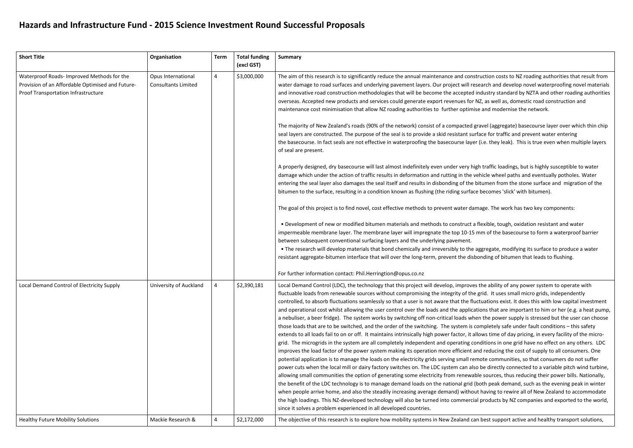## **Hazards and Infrastructure Fund - 2015 Science Investment Round Successful Proposals**

| <b>Short Title</b>                                                                                                                    | Organisation                                     | <b>Term</b>    | <b>Total funding</b><br>(excl GST) | <b>Summary</b>                                                                                                                                                                                                                                                                                                                                                                                                                                                                                                                                                                                                                                                                                                                                                                                                                                                                                                                                                                                                                                                                                                                                                                                                                                                                                                                                                                                                                                                                                                                                                                                                                                     |
|---------------------------------------------------------------------------------------------------------------------------------------|--------------------------------------------------|----------------|------------------------------------|----------------------------------------------------------------------------------------------------------------------------------------------------------------------------------------------------------------------------------------------------------------------------------------------------------------------------------------------------------------------------------------------------------------------------------------------------------------------------------------------------------------------------------------------------------------------------------------------------------------------------------------------------------------------------------------------------------------------------------------------------------------------------------------------------------------------------------------------------------------------------------------------------------------------------------------------------------------------------------------------------------------------------------------------------------------------------------------------------------------------------------------------------------------------------------------------------------------------------------------------------------------------------------------------------------------------------------------------------------------------------------------------------------------------------------------------------------------------------------------------------------------------------------------------------------------------------------------------------------------------------------------------------|
| Waterproof Roads- Improved Methods for the<br>Provision of an Affordable Optimised and Future-<br>Proof Transportation Infrastructure | Opus International<br><b>Consultants Limited</b> | $\overline{4}$ | \$3,000,000                        | The aim of this research is to significantly reduce the annual maintenance and const<br>water damage to road surfaces and underlying pavement layers. Our project will res<br>and innovative road construction methodologies that will be become the accepted i<br>overseas. Accepted new products and services could generate export revenues for N<br>maintenance cost minimisation that allow NZ roading authorities to further optimis<br>The majority of New Zealand's roads (90% of the network) consist of a compacted gi<br>seal layers are constructed. The purpose of the seal is to provide a skid resistant surl<br>the basecourse. In fact seals are not effective in waterproofing the basecourse layer<br>of seal are present.<br>A properly designed, dry basecourse will last almost indefinitely even under very hig<br>damage which under the action of traffic results in deformation and rutting in the ve<br>entering the seal layer also damages the seal itself and results in disbonding of the b<br>bitumen to the surface, resulting in a condition known as flushing (the riding surface<br>The goal of this project is to find novel, cost effective methods to prevent water dan<br>. Development of new or modified bitumen materials and methods to construct a<br>impermeable membrane layer. The membrane layer will impregnate the top 10-15 r<br>between subsequent conventional surfacing layers and the underlying pavement.<br>. The research will develop materials that bond chemically and irreversibly to the a<br>resistant aggregate-bitumen interface that will over the long-term, prevent the disb |
|                                                                                                                                       |                                                  |                |                                    | For further information contact: Phil.Herringtion@opus.co.nz                                                                                                                                                                                                                                                                                                                                                                                                                                                                                                                                                                                                                                                                                                                                                                                                                                                                                                                                                                                                                                                                                                                                                                                                                                                                                                                                                                                                                                                                                                                                                                                       |
| Local Demand Control of Electricity Supply                                                                                            | University of Auckland                           | 4              | \$2,390,181                        | Local Demand Control (LDC), the technology that this project will develop, improves<br>fluctuable loads from renewable sources without compromising the integrity of the<br>controlled, to absorb fluctuations seamlessly so that a user is not aware that the fluc<br>and operational cost whilst allowing the user control over the loads and the applicat<br>a nebuliser, a beer fridge). The system works by switching off non-critical loads whe<br>those loads that are to be switched, and the order of the switching. The system is co<br>extends to all loads fail to on or off. It maintains intrinsically high power factor, it all<br>grid. The microgrids in the system are all completely independent and operating co<br>improves the load factor of the power system making its operation more efficient ar<br>potential application is to manage the loads on the electricity grids serving small ren<br>power cuts when the local mill or dairy factory switches on. The LDC system can also<br>allowing small communities the option of generating some electricity from renewab<br>the benefit of the LDC technology is to manage demand loads on the national grid (b<br>when people arrive home, and also the steadily increasing average demand) without<br>the high loadings. This NZ-developed technology will also be turned into commercia<br>since it solves a problem experienced in all developed countries.                                                                                                                                                                                                         |
| <b>Healthy Future Mobility Solutions</b>                                                                                              | Mackie Research &                                | 4              | \$2,172,000                        | The objective of this research is to explore how mobility systems in New Zealand car                                                                                                                                                                                                                                                                                                                                                                                                                                                                                                                                                                                                                                                                                                                                                                                                                                                                                                                                                                                                                                                                                                                                                                                                                                                                                                                                                                                                                                                                                                                                                               |

truction costs to NZ roading authorities that result from search and develop novel waterproofing novel materials industry standard by NZTA and other roading authorities NZ, as well as, domestic road construction and se and modernise the network.

The majority of aggreem is roads in the majority of the consisting consisting the consisting chipsit  $\epsilon$ face for traffic and prevent water entering  $t$  (i.e. they leak). This is true even when multiple layers

gh traffic loadings, but is highly susceptible to water ehicle wheel paths and eventually potholes. Water bitumen from the stone surface and migration of the becomes 'slick' with bitumen).

mage. The work has two key components:

flexible, tough, oxidation resistant and water mm of the basecourse to form a waterproof barrier

aggregate, modifying its surface to produce a water onding of bitumen that leads to flushing.

s the ability of any power system to operate with grid. It uses small micro grids, independently ctuations exist. It does this with low capital investment tions that are important to him or her (e.g. a heat pump, en the power supply is stressed but the user can choose ompletely safe under fault conditions – this safety llows time of day pricing, in every facility of the microinditions in one grid have no effect on any others. LDC nd reducing the cost of supply to all consumers. One mote communities, so that consumers do not suffer power directly connected to a variable pitch wind turbine, ble sources, thus reducing their power bills. Nationally, both peak demand, such as the evening peak in winter it having to rewire all of New Zealand to accommodate I products by NZ companies and exported to the world,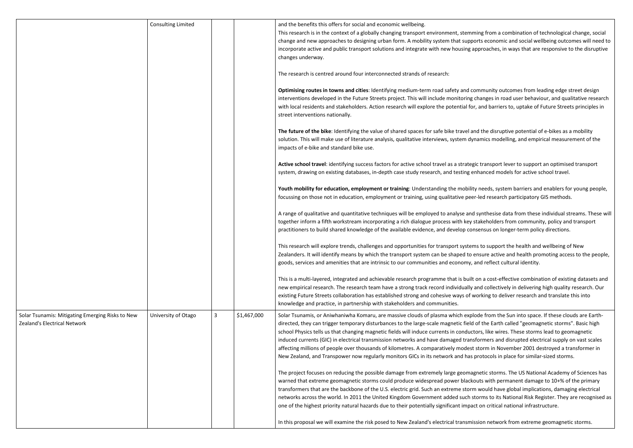|                                                                                                         | <b>Consulting Limited</b> |             |                                                                                                                                                                                                                                                                                                                                                                                                                                                                                                                                     | and the benefits this offers for social and economic wellbeing.<br>This research is in the context of a globally changing transport environment, stemm<br>change and new approaches to designing urban form. A mobility system that suppo<br>incorporate active and public transport solutions and integrate with new housing ap<br>changes underway.<br>The research is centred around four interconnected strands of research:       |
|---------------------------------------------------------------------------------------------------------|---------------------------|-------------|-------------------------------------------------------------------------------------------------------------------------------------------------------------------------------------------------------------------------------------------------------------------------------------------------------------------------------------------------------------------------------------------------------------------------------------------------------------------------------------------------------------------------------------|----------------------------------------------------------------------------------------------------------------------------------------------------------------------------------------------------------------------------------------------------------------------------------------------------------------------------------------------------------------------------------------------------------------------------------------|
|                                                                                                         |                           |             |                                                                                                                                                                                                                                                                                                                                                                                                                                                                                                                                     | Optimising routes in towns and cities: Identifying medium-term road safety and co<br>interventions developed in the Future Streets project. This will include monitoring c<br>with local residents and stakeholders. Action research will explore the potential for,<br>street interventions nationally.                                                                                                                               |
|                                                                                                         |                           |             |                                                                                                                                                                                                                                                                                                                                                                                                                                                                                                                                     | The future of the bike: Identifying the value of shared spaces for safe bike travel and<br>solution. This will make use of literature analysis, qualitative interviews, system dyn<br>impacts of e-bike and standard bike use.                                                                                                                                                                                                         |
|                                                                                                         |                           |             |                                                                                                                                                                                                                                                                                                                                                                                                                                                                                                                                     | Active school travel: identifying success factors for active school travel as a strategional<br>system, drawing on existing databases, in-depth case study research, and testing en                                                                                                                                                                                                                                                    |
|                                                                                                         |                           |             |                                                                                                                                                                                                                                                                                                                                                                                                                                                                                                                                     | Youth mobility for education, employment or training: Understanding the mobility<br>focussing on those not in education, employment or training, using qualitative peer-                                                                                                                                                                                                                                                               |
|                                                                                                         |                           |             |                                                                                                                                                                                                                                                                                                                                                                                                                                                                                                                                     | A range of qualitative and quantitative techniques will be employed to analyse and :<br>together inform a fifth workstream incorporating a rich dialogue process with key st<br>practitioners to build shared knowledge of the available evidence, and develop cons                                                                                                                                                                    |
|                                                                                                         |                           |             |                                                                                                                                                                                                                                                                                                                                                                                                                                                                                                                                     | This research will explore trends, challenges and opportunities for transport system<br>Zealanders. It will identify means by which the transport system can be shaped to er<br>goods, services and amenities that are intrinsic to our communities and economy, a                                                                                                                                                                     |
|                                                                                                         |                           |             |                                                                                                                                                                                                                                                                                                                                                                                                                                                                                                                                     | This is a multi-layered, integrated and achievable research programme that is built of<br>new empirical research. The research team have a strong track record individually a<br>existing Future Streets collaboration has established strong and cohesive ways of wo<br>knowledge and practice, in partnership with stakeholders and communities.                                                                                     |
| Solar Tsunamis: Mitigating Emerging Risks to New<br>University of Otago<br>Zealand's Electrical Network | 3                         | \$1,467,000 | Solar Tsunamis, or Aniwhaniwha Komaru, are massive clouds of plasma which explo<br>directed, they can trigger temporary disturbances to the large-scale magnetic field c<br>school Physics tells us that changing magnetic fields will induce currents in conducto<br>induced currents (GIC) in electrical transmission networks and have damaged transf<br>affecting millions of people over thousands of kilometres. A comparatively modest s<br>New Zealand, and Transpower now regularly monitors GICs in its network and has p |                                                                                                                                                                                                                                                                                                                                                                                                                                        |
|                                                                                                         |                           |             |                                                                                                                                                                                                                                                                                                                                                                                                                                                                                                                                     | The project focuses on reducing the possible damage from extremely large geomagi<br>warned that extreme geomagnetic storms could produce widespread power blackor<br>transformers that are the backbone of the U.S. electric grid. Such an extreme storm<br>networks across the world. In 2011 the United Kingdom Government added such sto<br>one of the highest priority natural hazards due to their potentially significant impact |
|                                                                                                         |                           |             |                                                                                                                                                                                                                                                                                                                                                                                                                                                                                                                                     | In this proposal we will examine the risk posed to New Zealand's electrical transmiss                                                                                                                                                                                                                                                                                                                                                  |

ing from a combination of technological change, social rts economic and social wellbeing outcomes will need to pproaches, in ways that are responsive to the disruptive

mmunity outcomes from leading edge street design hanges in road user behaviour, and qualitative research and barriers to, uptake of Future Streets principles in

Id the disruptive potential of e-bikes as a mobility iamics modelling, and empirical measurement of the

c transport lever to support an optimised transport hanced models for active school travel.

If meeds, system barriers and enablers for young people, -led research participatory GIS methods.

synthesise data from these individual streams. These will takeholders from community, policy and transport sensus on longer-term policy directions.

Is to support the health and wellbeing of New nsure active and health promoting access to the people, nd reflect cultural identity.

on a cost-effective combination of existing datasets and and collectively in delivering high quality research. Our orking to deliver research and translate this into

de from the Sun into space. If these clouds are Earthof the Earth called "geomagnetic storms". Basic high ors, like wires. These storms lead to geomagnetic formers and disrupted electrical supply on vast scales storm in November 2001 destroyed a transformer in orotocols in place for similar-sized storms.

netic storms. The US National Academy of Sciences has uts with permanent damage to 10+% of the primary would have global implications, damaging electrical orms to its National Risk Register. They are recognised as on critical national infrastructure.

sion network from extreme geomagnetic storms.